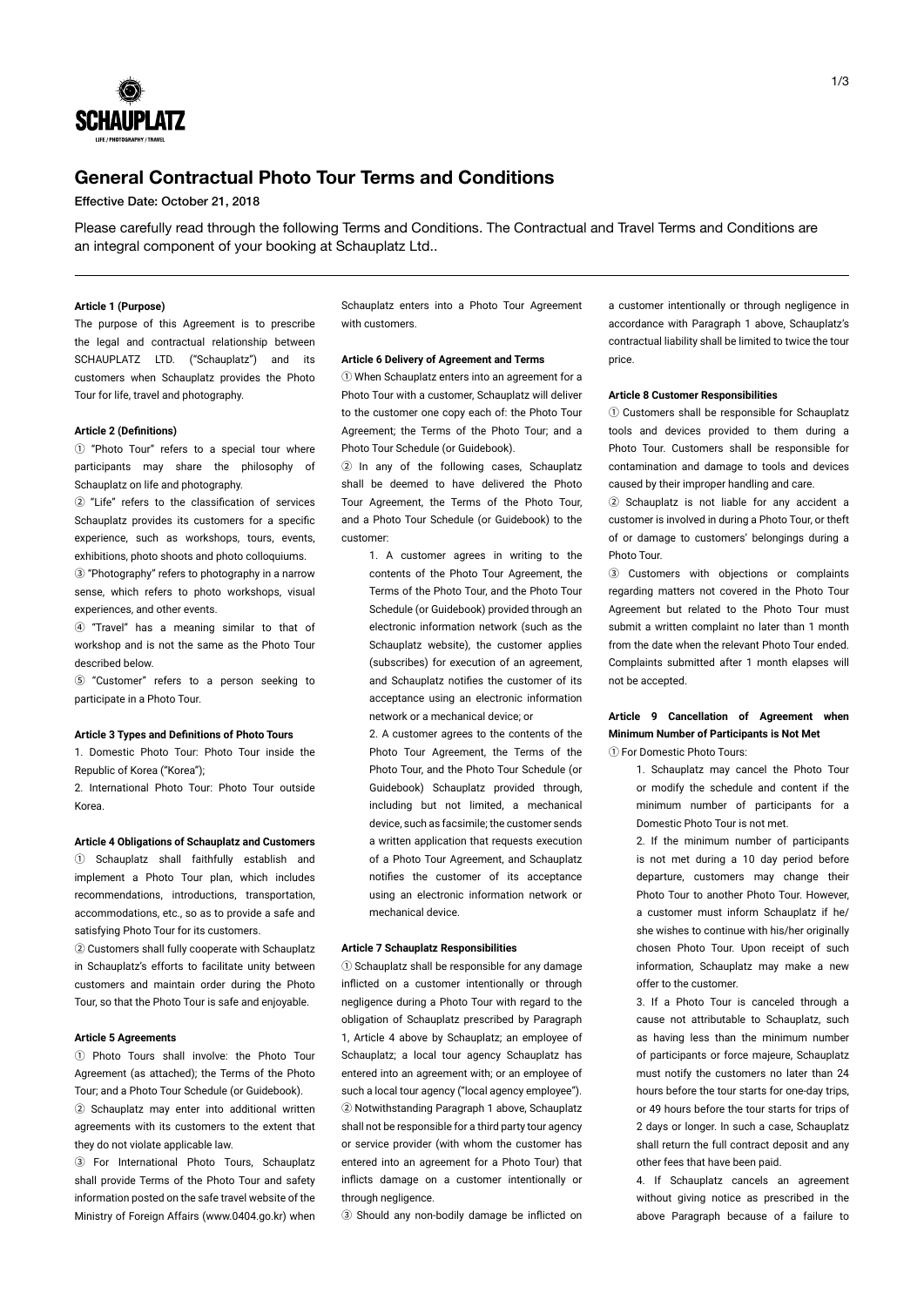

# **General Contractual Photo Tour Terms and Conditions**

Effective Date: October 21, 2018

Please carefully read through the following Terms and Conditions. The Contractual and Travel Terms and Conditions are an integral component of your booking at Schauplatz Ltd..

#### **Article 1 (Purpose)**

The purpose of this Agreement is to prescribe the legal and contractual relationship between SCHAUPLATZ LTD. ("Schauplatz") and its customers when Schauplatz provides the Photo Tour for life, travel and photography.

## **Article 2 (Definitions)**

① "Photo Tour" refers to a special tour where participants may share the philosophy of Schauplatz on life and photography.

② "Life" refers to the classification of services Schauplatz provides its customers for a specific experience, such as workshops, tours, events, exhibitions, photo shoots and photo colloquiums. ③ "Photography" refers to photography in a narrow sense, which refers to photo workshops, visual experiences, and other events.

④ "Travel" has a meaning similar to that of workshop and is not the same as the Photo Tour described below.

⑤ "Customer" refers to a person seeking to participate in a Photo Tour.

#### **Article 3 Types and Definitions of Photo Tours**

1. Domestic Photo Tour: Photo Tour inside the Republic of Korea ("Korea");

2. International Photo Tour: Photo Tour outside Korea.

## **Article 4 Obligations of Schauplatz and Customers**

① Schauplatz shall faithfully establish and implement a Photo Tour plan, which includes recommendations, introductions, transportation, accommodations, etc., so as to provide a safe and satisfying Photo Tour for its customers.

② Customers shall fully cooperate with Schauplatz in Schauplatz's efforts to facilitate unity between customers and maintain order during the Photo Tour, so that the Photo Tour is safe and enjoyable.

#### **Article 5 Agreements**

① Photo Tours shall involve: the Photo Tour Agreement (as attached); the Terms of the Photo Tour; and a Photo Tour Schedule (or Guidebook). ② Schauplatz may enter into additional written agreements with its customers to the extent that they do not violate applicable law.

③ For International Photo Tours, Schauplatz shall provide Terms of the Photo Tour and safety information posted on the safe travel website of the Ministry of Foreign Affairs (www.0404.go.kr) when Schauplatz enters into a Photo Tour Agreement with customers.

#### **Article 6 Delivery of Agreement and Terms**

① When Schauplatz enters into an agreement for a Photo Tour with a customer, Schauplatz will deliver to the customer one copy each of: the Photo Tour Agreement; the Terms of the Photo Tour; and a Photo Tour Schedule (or Guidebook).

② In any of the following cases, Schauplatz shall be deemed to have delivered the Photo Tour Agreement, the Terms of the Photo Tour, and a Photo Tour Schedule (or Guidebook) to the customer:

1. A customer agrees in writing to the contents of the Photo Tour Agreement, the Terms of the Photo Tour, and the Photo Tour Schedule (or Guidebook) provided through an electronic information network (such as the Schauplatz website), the customer applies (subscribes) for execution of an agreement, and Schauplatz notifies the customer of its acceptance using an electronic information network or a mechanical device; or

2. A customer agrees to the contents of the Photo Tour Agreement, the Terms of the Photo Tour, and the Photo Tour Schedule (or Guidebook) Schauplatz provided through, including but not limited, a mechanical device, such as facsimile; the customer sends a written application that requests execution of a Photo Tour Agreement, and Schauplatz notifies the customer of its acceptance using an electronic information network or mechanical device.

#### **Article 7 Schauplatz Responsibilities**

① Schauplatz shall be responsible for any damage inflicted on a customer intentionally or through negligence during a Photo Tour with regard to the obligation of Schauplatz prescribed by Paragraph 1, Article 4 above by Schauplatz; an employee of Schauplatz; a local tour agency Schauplatz has entered into an agreement with; or an employee of such a local tour agency ("local agency employee"). ② Notwithstanding Paragraph 1 above, Schauplatz shall not be responsible for a third party tour agency or service provider (with whom the customer has entered into an agreement for a Photo Tour) that inflicts damage on a customer intentionally or through negligence.

③ Should any non-bodily damage be inflicted on

a customer intentionally or through negligence in accordance with Paragraph 1 above, Schauplatz's contractual liability shall be limited to twice the tour price.

#### **Article 8 Customer Responsibilities**

① Customers shall be responsible for Schauplatz tools and devices provided to them during a Photo Tour. Customers shall be responsible for contamination and damage to tools and devices caused by their improper handling and care.

② Schauplatz is not liable for any accident a customer is involved in during a Photo Tour, or theft of or damage to customers' belongings during a Photo Tour.

③ Customers with objections or complaints regarding matters not covered in the Photo Tour Agreement but related to the Photo Tour must submit a written complaint no later than 1 month from the date when the relevant Photo Tour ended. Complaints submitted after 1 month elapses will not be accepted.

# **Article 9 Cancellation of Agreement when Minimum Number of Participants is Not Met**

① For Domestic Photo Tours:

1. Schauplatz may cancel the Photo Tour or modify the schedule and content if the minimum number of participants for a Domestic Photo Tour is not met.

2. If the minimum number of participants is not met during a 10 day period before departure, customers may change their Photo Tour to another Photo Tour. However, a customer must inform Schauplatz if he/ she wishes to continue with his/her originally chosen Photo Tour. Upon receipt of such information, Schauplatz may make a new offer to the customer.

3. If a Photo Tour is canceled through a cause not attributable to Schauplatz, such as having less than the minimum number of participants or force majeure, Schauplatz must notify the customers no later than 24 hours before the tour starts for one-day trips, or 49 hours before the tour starts for trips of 2 days or longer. In such a case, Schauplatz shall return the full contract deposit and any other fees that have been paid.

4. If Schauplatz cancels an agreement without giving notice as prescribed in the above Paragraph because of a failure to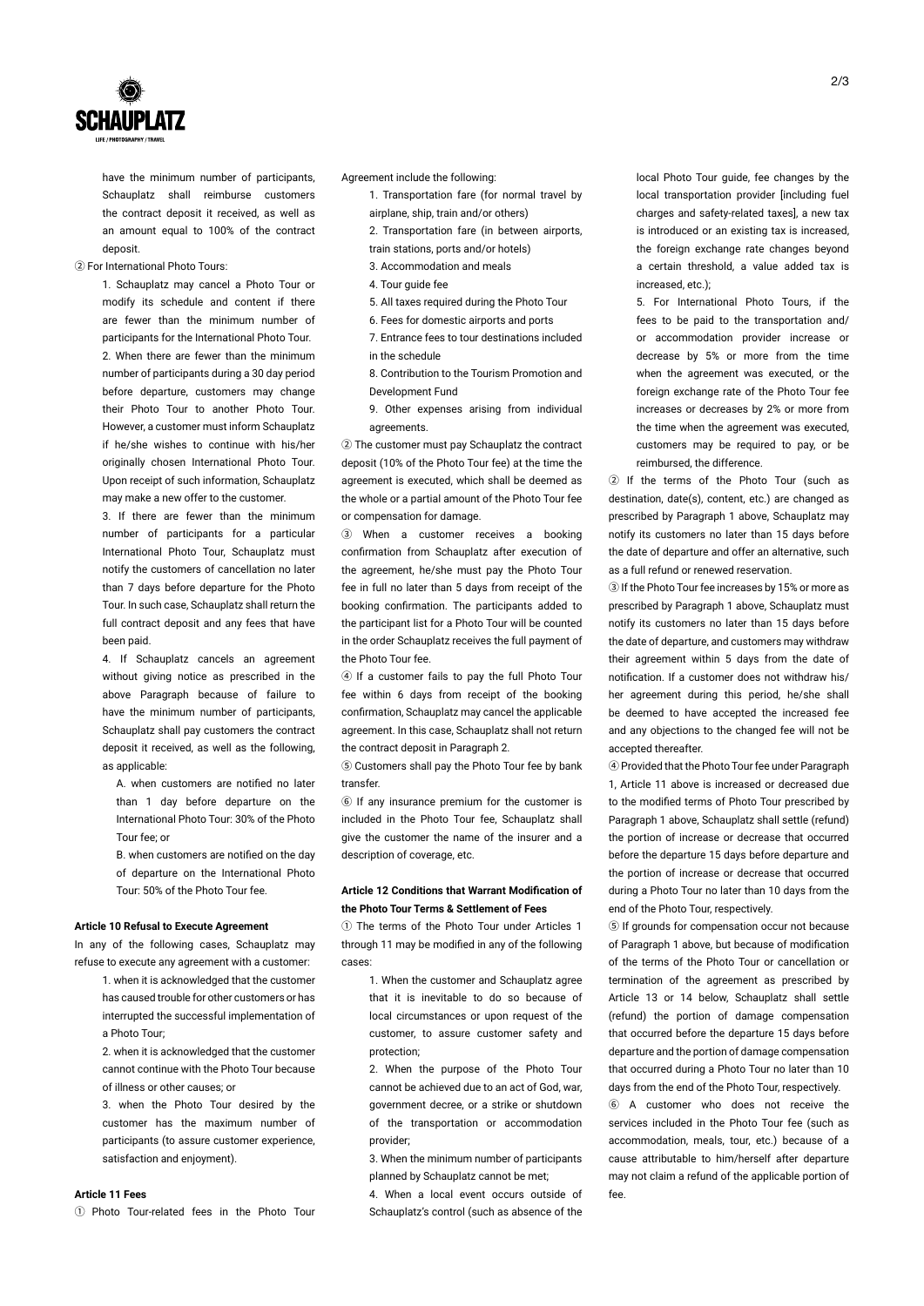

have the minimum number of participants, Schauplatz shall reimburse customers the contract deposit it received, as well as an amount equal to 100% of the contract deposit.

② For International Photo Tours:

1. Schauplatz may cancel a Photo Tour or modify its schedule and content if there are fewer than the minimum number of participants for the International Photo Tour. 2. When there are fewer than the minimum number of participants during a 30 day period before departure, customers may change their Photo Tour to another Photo Tour. However, a customer must inform Schauplatz if he/she wishes to continue with his/her originally chosen International Photo Tour Upon receipt of such information, Schauplatz may make a new offer to the customer.

3. If there are fewer than the minimum number of participants for a particular International Photo Tour, Schauplatz must notify the customers of cancellation no later than 7 days before departure for the Photo Tour. In such case, Schauplatz shall return the full contract deposit and any fees that have been paid.

4. If Schauplatz cancels an agreement without giving notice as prescribed in the above Paragraph because of failure to have the minimum number of participants, Schauplatz shall pay customers the contract deposit it received, as well as the following, as applicable:

- A. when customers are notified no later than 1 day before departure on the International Photo Tour: 30% of the Photo Tour fee; or
- B. when customers are notified on the day of departure on the International Photo Tour: 50% of the Photo Tour fee.

## **Article 10 Refusal to Execute Agreement**

In any of the following cases, Schauplatz may refuse to execute any agreement with a customer:

> 1. when it is acknowledged that the customer has caused trouble for other customers or has interrupted the successful implementation of a Photo Tour;

> 2. when it is acknowledged that the customer cannot continue with the Photo Tour because of illness or other causes; or

> 3. when the Photo Tour desired by the customer has the maximum number of participants (to assure customer experience, satisfaction and enjoyment).

# **Article 11 Fees**

① Photo Tour-related fees in the Photo Tour

Agreement include the following:

- 1. Transportation fare (for normal travel by
	- airplane, ship, train and/or others)
- 2. Transportation fare (in between airports, train stations, ports and/or hotels)
- 3. Accommodation and meals
- 4. Tour guide fee
- 5. All taxes required during the Photo Tour
- 6. Fees for domestic airports and ports
- 7. Entrance fees to tour destinations included in the schedule
- 8. Contribution to the Tourism Promotion and Development Fund
- 9. Other expenses arising from individual agreements.

② The customer must pay Schauplatz the contract deposit (10% of the Photo Tour fee) at the time the agreement is executed, which shall be deemed as the whole or a partial amount of the Photo Tour fee or compensation for damage.

③ When a customer receives a booking confirmation from Schauplatz after execution of the agreement, he/she must pay the Photo Tour fee in full no later than 5 days from receipt of the booking confirmation. The participants added to the participant list for a Photo Tour will be counted in the order Schauplatz receives the full payment of the Photo Tour fee.

④ If a customer fails to pay the full Photo Tour fee within 6 days from receipt of the booking confirmation, Schauplatz may cancel the applicable agreement. In this case, Schauplatz shall not return the contract deposit in Paragraph 2.

⑤ Customers shall pay the Photo Tour fee by bank transfer.

⑥ If any insurance premium for the customer is included in the Photo Tour fee, Schauplatz shall give the customer the name of the insurer and a description of coverage, etc.

## **Article 12 Conditions that Warrant Modification of the Photo Tour Terms & Settlement of Fees**

① The terms of the Photo Tour under Articles 1 through 11 may be modified in any of the following cases:

1. When the customer and Schauplatz agree that it is inevitable to do so because of local circumstances or upon request of the customer, to assure customer safety and protection;

2. When the purpose of the Photo Tour cannot be achieved due to an act of God, war, government decree, or a strike or shutdown of the transportation or accommodation provider;

3. When the minimum number of participants planned by Schauplatz cannot be met;

4. When a local event occurs outside of Schauplatz's control (such as absence of the local Photo Tour guide, fee changes by the local transportation provider [including fuel charges and safety-related taxes], a new tax is introduced or an existing tax is increased, the foreign exchange rate changes beyond a certain threshold, a value added tax is increased, etc.);

5. For International Photo Tours, if the fees to be paid to the transportation and/ or accommodation provider increase or decrease by 5% or more from the time when the agreement was executed, or the foreign exchange rate of the Photo Tour fee increases or decreases by 2% or more from the time when the agreement was executed, customers may be required to pay, or be reimbursed, the difference.

② If the terms of the Photo Tour (such as destination, date(s), content, etc.) are changed as prescribed by Paragraph 1 above, Schauplatz may notify its customers no later than 15 days before the date of departure and offer an alternative, such as a full refund or renewed reservation.

③ If the Photo Tour fee increases by 15% or more as prescribed by Paragraph 1 above, Schauplatz must notify its customers no later than 15 days before the date of departure, and customers may withdraw their agreement within 5 days from the date of notification. If a customer does not withdraw his/ her agreement during this period, he/she shall be deemed to have accepted the increased fee and any objections to the changed fee will not be accepted thereafter.

④ Provided that the Photo Tour fee under Paragraph 1, Article 11 above is increased or decreased due to the modified terms of Photo Tour prescribed by Paragraph 1 above, Schauplatz shall settle (refund) the portion of increase or decrease that occurred before the departure 15 days before departure and the portion of increase or decrease that occurred during a Photo Tour no later than 10 days from the end of the Photo Tour, respectively.

⑤ If grounds for compensation occur not because of Paragraph 1 above, but because of modification of the terms of the Photo Tour or cancellation or termination of the agreement as prescribed by Article 13 or 14 below, Schauplatz shall settle (refund) the portion of damage compensation that occurred before the departure 15 days before departure and the portion of damage compensation that occurred during a Photo Tour no later than 10 days from the end of the Photo Tour, respectively.

⑥ A customer who does not receive the services included in the Photo Tour fee (such as accommodation, meals, tour, etc.) because of a cause attributable to him/herself after departure may not claim a refund of the applicable portion of fee.